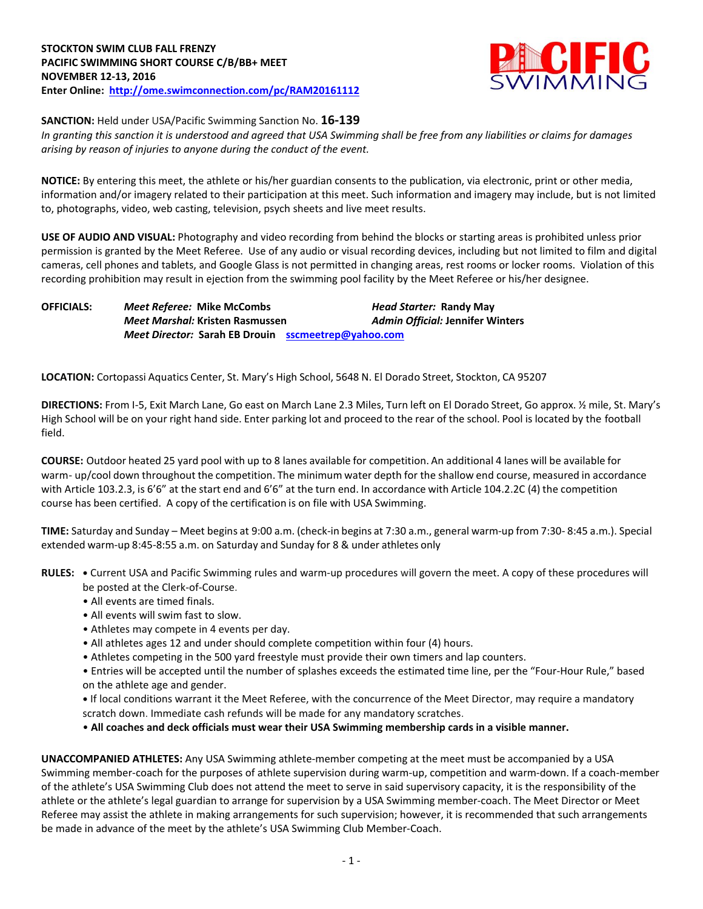

**SANCTION:** Held under USA/Pacific Swimming Sanction No. **16-139**

*In granting this sanction it is understood and agreed that USA Swimming shall be free from any liabilities or claims for damages arising by reason of injuries to anyone during the conduct of the event.*

**NOTICE:** By entering this meet, the athlete or his/her guardian consents to the publication, via electronic, print or other media, information and/or imagery related to their participation at this meet. Such information and imagery may include, but is not limited to, photographs, video, web casting, television, psych sheets and live meet results.

**USE OF AUDIO AND VISUAL:** Photography and video recording from behind the blocks or starting areas is prohibited unless prior permission is granted by the Meet Referee. Use of any audio or visual recording devices, including but not limited to film and digital cameras, cell phones and tablets, and Google Glass is not permitted in changing areas, rest rooms or locker rooms. Violation of this recording prohibition may result in ejection from the swimming pool facility by the Meet Referee or his/her designee.

**OFFICIALS:** *Meet Referee:* **Mike McCombs** *Head Starter:* **Randy May** *Meet Marshal:* **Kristen Rasmussen** *Admin Official:* **Jennifer Winters** *Meet Director:* **Sarah EB Drouin [sscmeetrep@yahoo.com](mailto:sscmeetrep@yahoo.com)**

**LOCATION:** Cortopassi Aquatics Center, St. Mary's High School, 5648 N. El Dorado Street, Stockton, CA 95207

**DIRECTIONS:** From I-5, Exit March Lane, Go east on March Lane 2.3 Miles, Turn left on El Dorado Street, Go approx. ½ mile, St. Mary's High School will be on your right hand side. Enter parking lot and proceed to the rear of the school. Pool is located by the football field.

**COURSE:** Outdoor heated 25 yard pool with up to 8 lanes available for competition. An additional 4 lanes will be available for warm- up/cool down throughout the competition. The minimum water depth for the shallow end course, measured in accordance with Article 103.2.3, is 6'6" at the start end and 6'6" at the turn end. In accordance with Article 104.2.2C (4) the competition course has been certified. A copy of the certification is on file with USA Swimming.

**TIME:** Saturday and Sunday – Meet begins at 9:00 a.m. (check‐in begins at 7:30 a.m., general warm‐up from 7:30‐ 8:45 a.m.). Special extended warm-up 8:45-8:55 a.m. on Saturday and Sunday for 8 & under athletes only

**RULES: •** Current USA and Pacific Swimming rules and warm-up procedures will govern the meet. A copy of these procedures will be posted at the Clerk-of-Course.

- All events are timed finals.
- All events will swim fast to slow.
- Athletes may compete in 4 events per day.
- All athletes ages 12 and under should complete competition within four (4) hours.
- Athletes competing in the 500 yard freestyle must provide their own timers and lap counters.

• Entries will be accepted until the number of splashes exceeds the estimated time line, per the "Four-Hour Rule," based on the athlete age and gender.

**•** If local conditions warrant it the Meet Referee, with the concurrence of the Meet Director, may require a mandatory scratch down. Immediate cash refunds will be made for any mandatory scratches.

• **All coaches and deck officials must wear their USA Swimming membership cards in a visible manner.** 

**UNACCOMPANIED ATHLETES:** Any USA Swimming athlete-member competing at the meet must be accompanied by a USA Swimming member-coach for the purposes of athlete supervision during warm-up, competition and warm-down. If a coach-member of the athlete's USA Swimming Club does not attend the meet to serve in said supervisory capacity, it is the responsibility of the athlete or the athlete's legal guardian to arrange for supervision by a USA Swimming member-coach. The Meet Director or Meet Referee may assist the athlete in making arrangements for such supervision; however, it is recommended that such arrangements be made in advance of the meet by the athlete's USA Swimming Club Member-Coach.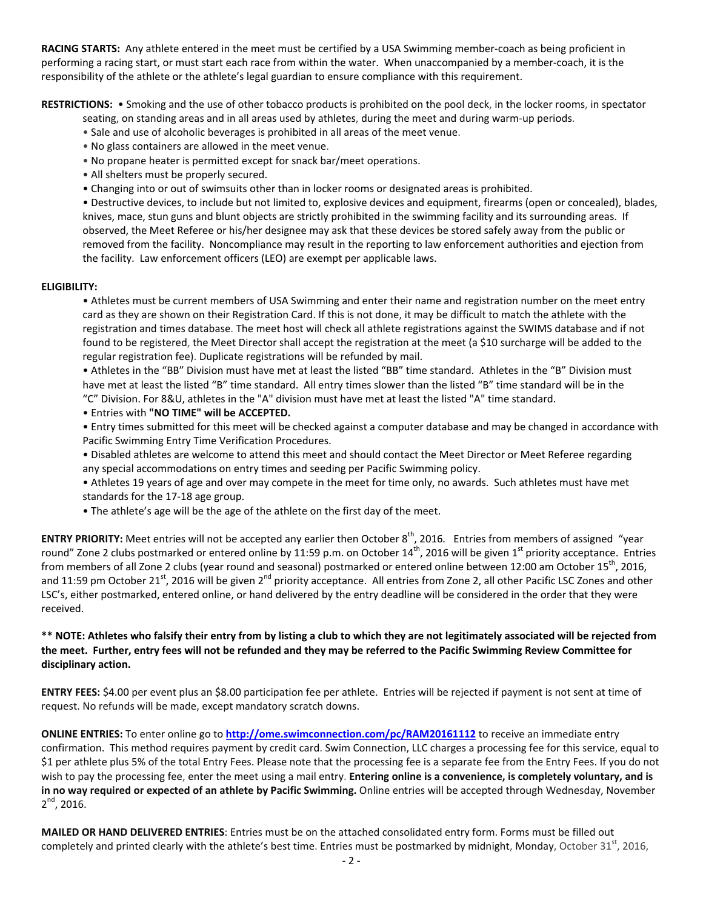**RACING STARTS:** Any athlete entered in the meet must be certified by a USA Swimming member-coach as being proficient in performing a racing start, or must start each race from within the water. When unaccompanied by a member-coach, it is the responsibility of the athlete or the athlete's legal guardian to ensure compliance with this requirement.

**RESTRICTIONS:** • Smoking and the use of other tobacco products is prohibited on the pool deck, in the locker rooms, in spectator

- seating, on standing areas and in all areas used by athletes, during the meet and during warm-up periods.
- Sale and use of alcoholic beverages is prohibited in all areas of the meet venue.
- No glass containers are allowed in the meet venue.
- No propane heater is permitted except for snack bar/meet operations.
- All shelters must be properly secured.
- Changing into or out of swimsuits other than in locker rooms or designated areas is prohibited.

• Destructive devices, to include but not limited to, explosive devices and equipment, firearms (open or concealed), blades, knives, mace, stun guns and blunt objects are strictly prohibited in the swimming facility and its surrounding areas. If observed, the Meet Referee or his/her designee may ask that these devices be stored safely away from the public or removed from the facility. Noncompliance may result in the reporting to law enforcement authorities and ejection from the facility. Law enforcement officers (LEO) are exempt per applicable laws.

## **ELIGIBILITY:**

• Athletes must be current members of USA Swimming and enter their name and registration number on the meet entry card as they are shown on their Registration Card. If this is not done, it may be difficult to match the athlete with the registration and times database. The meet host will check all athlete registrations against the SWIMS database and if not found to be registered, the Meet Director shall accept the registration at the meet (a \$10 surcharge will be added to the regular registration fee). Duplicate registrations will be refunded by mail.

• Athletes in the "BB" Division must have met at least the listed "BB" time standard. Athletes in the "B" Division must have met at least the listed "B" time standard. All entry times slower than the listed "B" time standard will be in the "C" Division. For 8&U, athletes in the "A" division must have met at least the listed "A" time standard.

- Entries with **"NO TIME" will be ACCEPTED.**
- Entry times submitted for this meet will be checked against a computer database and may be changed in accordance with Pacific Swimming Entry Time Verification Procedures.
- Disabled athletes are welcome to attend this meet and should contact the Meet Director or Meet Referee regarding any special accommodations on entry times and seeding per Pacific Swimming policy.
- Athletes 19 years of age and over may compete in the meet for time only, no awards. Such athletes must have met standards for the 17-18 age group.
- The athlete's age will be the age of the athlete on the first day of the meet.

**ENTRY PRIORITY:** Meet entries will not be accepted any earlier then October 8<sup>th</sup>, 2016. Entries from members of assigned "year round" Zone 2 clubs postmarked or entered online by 11:59 p.m. on October 14<sup>th</sup>, 2016 will be given 1<sup>st</sup> priority acceptance. Entries from members of all Zone 2 clubs (year round and seasonal) postmarked or entered online between 12:00 am October  $15<sup>th</sup>$ , 2016, and 11:59 pm October 21<sup>st</sup>, 2016 will be given 2<sup>nd</sup> priority acceptance. All entries from Zone 2, all other Pacific LSC Zones and other LSC's, either postmarked, entered online, or hand delivered by the entry deadline will be considered in the order that they were received.

## **\*\* NOTE: Athletes who falsify their entry from by listing a club to which they are not legitimately associated will be rejected from the meet. Further, entry fees will not be refunded and they may be referred to the Pacific Swimming Review Committee for disciplinary action.**

**ENTRY FEES:** \$4.00 per event plus an \$8.00 participation fee per athlete. Entries will be rejected if payment is not sent at time of request. No refunds will be made, except mandatory scratch downs.

**ONLINE ENTRIES:** To enter online go to **<http://ome.swimconnection.com/pc/RAM20161112>** to receive an immediate entry confirmation. This method requires payment by credit card. Swim Connection, LLC charges a processing fee for this service, equal to \$1 per athlete plus 5% of the total Entry Fees. Please note that the processing fee is a separate fee from the Entry Fees. If you do not wish to pay the processing fee, enter the meet using a mail entry. **Entering online is a convenience, is completely voluntary, and is in no way required or expected of an athlete by Pacific Swimming.** Online entries will be accepted through Wednesday, November 2<sup>nd</sup>, 2016.

**MAILED OR HAND DELIVERED ENTRIES**: Entries must be on the attached consolidated entry form. Forms must be filled out completely and printed clearly with the athlete's best time. Entries must be postmarked by midnight, Monday, October 31<sup>st</sup>, 2016,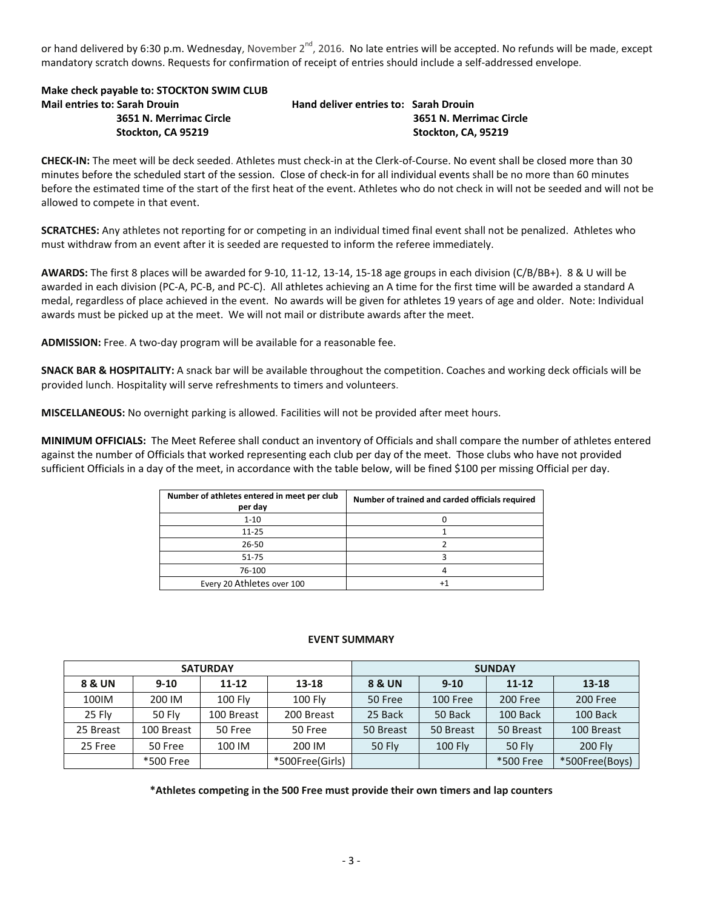or hand delivered by 6:30 p.m. Wednesday, November 2<sup>nd</sup>, 2016. No late entries will be accepted. No refunds will be made, except mandatory scratch downs. Requests for confirmation of receipt of entries should include a self-addressed envelope.

**Make check payable to: STOCKTON SWIM CLUB Mail entries to: Sarah Drouin Hand deliver entries to: Sarah Drouin**

 **3651 N. Merrimac Circle 3651 N. Merrimac Circle Stockton, CA 95219 Stockton, CA, 95219**

**CHECK-IN:** The meet will be deck seeded. Athletes must check-in at the Clerk-of-Course. No event shall be closed more than 30 minutes before the scheduled start of the session. Close of check-in for all individual events shall be no more than 60 minutes before the estimated time of the start of the first heat of the event. Athletes who do not check in will not be seeded and will not be allowed to compete in that event.

**SCRATCHES:** Any athletes not reporting for or competing in an individual timed final event shall not be penalized. Athletes who must withdraw from an event after it is seeded are requested to inform the referee immediately.

**AWARDS:** The first 8 places will be awarded for 9-10, 11-12, 13-14, 15-18 age groups in each division (C/B/BB+). 8 & U will be awarded in each division (PC-A, PC-B, and PC-C). All athletes achieving an A time for the first time will be awarded a standard A medal, regardless of place achieved in the event. No awards will be given for athletes 19 years of age and older. Note: Individual awards must be picked up at the meet. We will not mail or distribute awards after the meet.

**ADMISSION:** Free. A two-day program will be available for a reasonable fee.

**SNACK BAR & HOSPITALITY:** A snack bar will be available throughout the competition. Coaches and working deck officials will be provided lunch. Hospitality will serve refreshments to timers and volunteers.

**MISCELLANEOUS:** No overnight parking is allowed. Facilities will not be provided after meet hours.

**MINIMUM OFFICIALS:** The Meet Referee shall conduct an inventory of Officials and shall compare the number of athletes entered against the number of Officials that worked representing each club per day of the meet. Those clubs who have not provided sufficient Officials in a day of the meet, in accordance with the table below, will be fined \$100 per missing Official per day.

| Number of athletes entered in meet per club<br>per day | Number of trained and carded officials required |
|--------------------------------------------------------|-------------------------------------------------|
| $1 - 10$                                               |                                                 |
| $11 - 25$                                              |                                                 |
| $26 - 50$                                              |                                                 |
| 51-75                                                  |                                                 |
| 76-100                                                 |                                                 |
| Every 20 Athletes over 100                             |                                                 |

## **EVENT SUMMARY**

|           |            | <b>SATURDAY</b> |                 | <b>SUNDAY</b>     |                |               |                |  |  |
|-----------|------------|-----------------|-----------------|-------------------|----------------|---------------|----------------|--|--|
| 8 & UN    | $9 - 10$   | $11 - 12$       | 13-18           | <b>8 &amp; UN</b> | $9 - 10$       |               | 13-18          |  |  |
| 100IM     | 200 IM     | <b>100 Flv</b>  | <b>100 Flv</b>  | 50 Free           | 100 Free       | 200 Free      | 200 Free       |  |  |
| 25 Flv    | 50 Flv     | 100 Breast      | 200 Breast      | 25 Back           | 50 Back        | 100 Back      | 100 Back       |  |  |
| 25 Breast | 100 Breast | 50 Free         | 50 Free         | 50 Breast         | 50 Breast      | 50 Breast     | 100 Breast     |  |  |
| 25 Free   | 50 Free    | 100 IM          | 200 IM          | <b>50 Fly</b>     | <b>100 Fly</b> | <b>50 Flv</b> | <b>200 Fly</b> |  |  |
|           | *500 Free  |                 | *500Free(Girls) |                   |                | *500 Free     | *500Free(Boys) |  |  |

**\*Athletes competing in the 500 Free must provide their own timers and lap counters**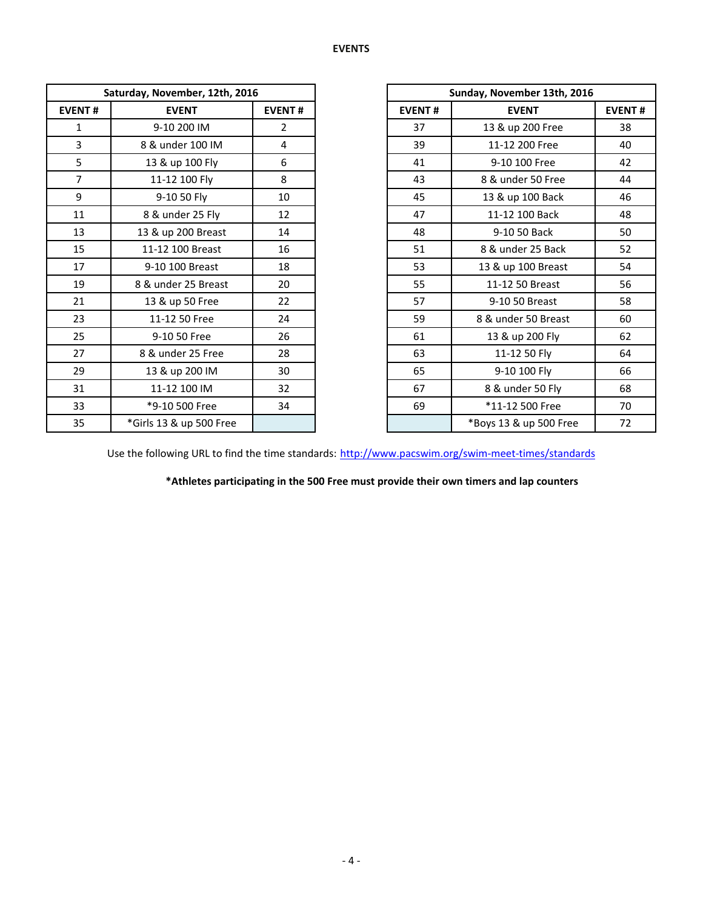|                | Saturday, November, 12th, 2016 |                |
|----------------|--------------------------------|----------------|
| <b>EVENT#</b>  | <b>EVENT</b>                   | <b>EVENT#</b>  |
| 1              | 9-10 200 IM                    | $\overline{2}$ |
| $\overline{3}$ | 8 & under 100 IM               | 4              |
| 5              | 13 & up 100 Fly                | 6              |
| $\overline{7}$ | 11-12 100 Fly                  | 8              |
| 9              | 9-10 50 Fly                    | 10             |
| 11             | 8 & under 25 Fly               | 12             |
| 13             | 13 & up 200 Breast             | 14             |
| 15             | 11-12 100 Breast               | 16             |
| 17             | 9-10 100 Breast                | 18             |
| 19             | 8 & under 25 Breast            | 20             |
| 21             | 13 & up 50 Free                | 22             |
| 23             | 11-12 50 Free                  | 24             |
| 25             | 9-10 50 Free                   | 26             |
| 27             | 8 & under 25 Free              | 28             |
| 29             | 13 & up 200 IM                 | 30             |
| 31             | 11-12 100 IM                   | 32             |
| 33             | *9-10 500 Free                 | 34             |
| 35             | *Girls 13 & up 500 Free        |                |

|                | Saturday, November, 12th, 2016 |                |
|----------------|--------------------------------|----------------|
| <b>EVENT#</b>  | <b>EVENT</b>                   | <b>EVENT#</b>  |
| 1              | 9-10 200 IM                    | $\overline{2}$ |
| $\overline{3}$ | 8 & under 100 IM               | 4              |
| 5              | 13 & up 100 Fly                | 6              |
| $\overline{7}$ | 11-12 100 Fly                  | 8              |
| 9              | 9-10 50 Fly                    | 10             |
| 11             | 8 & under 25 Fly               | 12             |
| 13             | 13 & up 200 Breast             | 14             |
| 15             | 11-12 100 Breast               | 16             |
| 17             | 9-10 100 Breast                | 18             |
| 19             | 8 & under 25 Breast            | 20             |
| 21             | 13 & up 50 Free                | 22             |
| 23             | 11-12 50 Free                  | 24             |
| 25             | 9-10 50 Free                   | 26             |
| 27             | 8 & under 25 Free              | 28             |
| 29             | 13 & up 200 IM                 | 30             |
| 31             | 11-12 100 IM                   | 32             |
| 33             | *9-10 500 Free                 | 34             |
| 35             | *Girls 13 & up 500 Free        |                |

Use the following URL to find the time standards: <http://www.pacswim.org/swim-meet-times/standards>

**\*Athletes participating in the 500 Free must provide their own timers and lap counters**